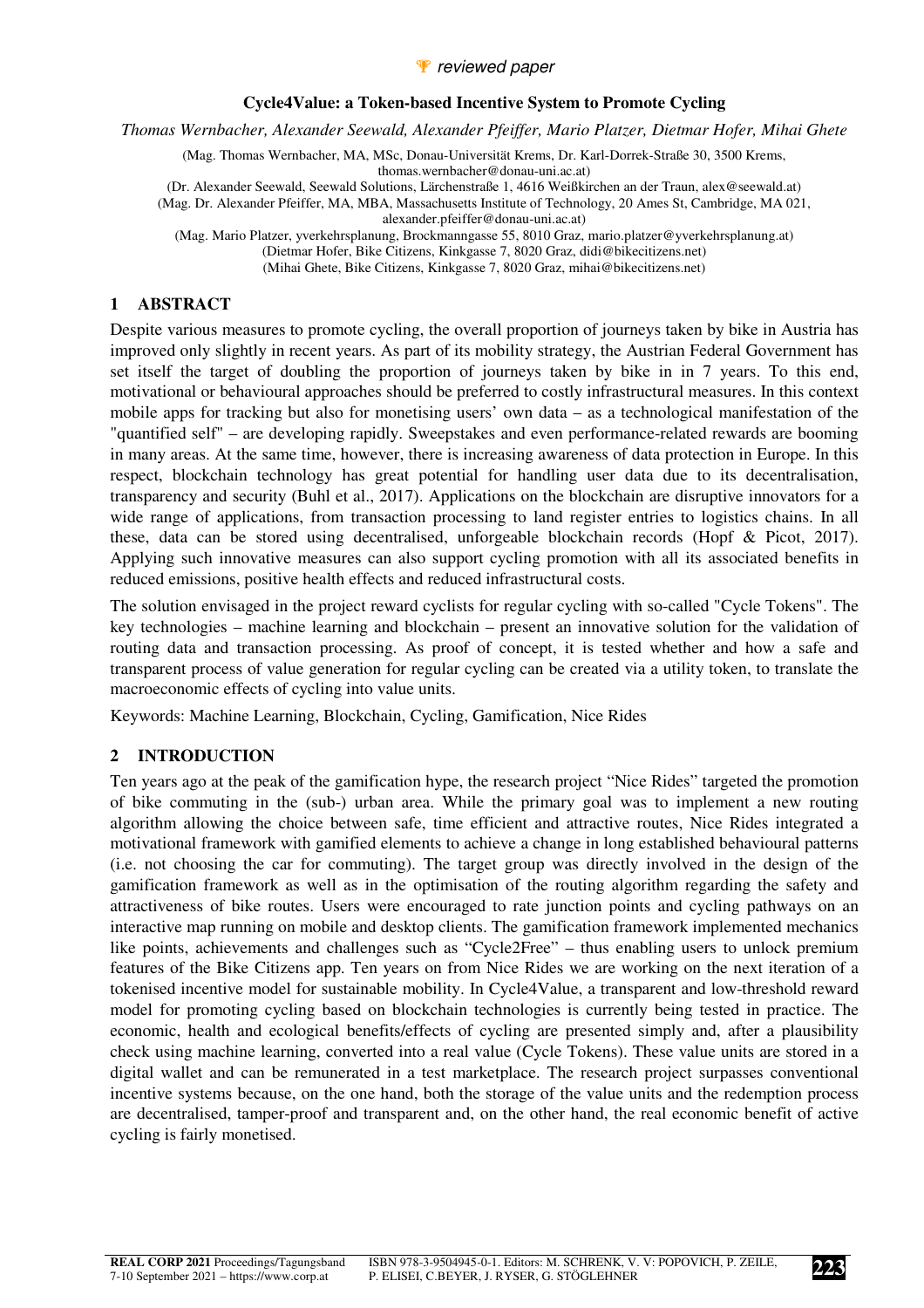#### *P* reviewed paper

#### **Cycle4Value: a Token-based Incentive System to Promote Cycling**

*Thomas Wernbacher, Alexander Seewald, Alexander Pfeiffer, Mario Platzer, Dietmar Hofer, Mihai Ghete* 

(Mag. Thomas Wernbacher, MA, MSc, Donau-Universität Krems, Dr. Karl-Dorrek-Straße 30, 3500 Krems, thomas.wernbacher@donau-uni.ac.at) (Dr. Alexander Seewald, Seewald Solutions, Lärchenstraße 1, 4616 Weißkirchen an der Traun, alex@seewald.at) (Mag. Dr. Alexander Pfeiffer, MA, MBA, Massachusetts Institute of Technology, 20 Ames St, Cambridge, MA 021, alexander.pfeiffer@donau-uni.ac.at)

(Mag. Mario Platzer, yverkehrsplanung, Brockmanngasse 55, 8010 Graz, mario.platzer@yverkehrsplanung.at) (Dietmar Hofer, Bike Citizens, Kinkgasse 7, 8020 Graz, didi@bikecitizens.net)

(Mihai Ghete, Bike Citizens, Kinkgasse 7, 8020 Graz, mihai@bikecitizens.net)

#### **1 ABSTRACT**

Despite various measures to promote cycling, the overall proportion of journeys taken by bike in Austria has improved only slightly in recent years. As part of its mobility strategy, the Austrian Federal Government has set itself the target of doubling the proportion of journeys taken by bike in in 7 years. To this end, motivational or behavioural approaches should be preferred to costly infrastructural measures. In this context mobile apps for tracking but also for monetising users' own data – as a technological manifestation of the "quantified self" – are developing rapidly. Sweepstakes and even performance-related rewards are booming in many areas. At the same time, however, there is increasing awareness of data protection in Europe. In this respect, blockchain technology has great potential for handling user data due to its decentralisation, transparency and security (Buhl et al., 2017). Applications on the blockchain are disruptive innovators for a wide range of applications, from transaction processing to land register entries to logistics chains. In all these, data can be stored using decentralised, unforgeable blockchain records (Hopf & Picot, 2017). Applying such innovative measures can also support cycling promotion with all its associated benefits in reduced emissions, positive health effects and reduced infrastructural costs.

The solution envisaged in the project reward cyclists for regular cycling with so-called "Cycle Tokens". The key technologies – machine learning and blockchain – present an innovative solution for the validation of routing data and transaction processing. As proof of concept, it is tested whether and how a safe and transparent process of value generation for regular cycling can be created via a utility token, to translate the macroeconomic effects of cycling into value units.

Keywords: Machine Learning, Blockchain, Cycling, Gamification, Nice Rides

#### **2 INTRODUCTION**

Ten years ago at the peak of the gamification hype, the research project "Nice Rides" targeted the promotion of bike commuting in the (sub-) urban area. While the primary goal was to implement a new routing algorithm allowing the choice between safe, time efficient and attractive routes, Nice Rides integrated a motivational framework with gamified elements to achieve a change in long established behavioural patterns (i.e. not choosing the car for commuting). The target group was directly involved in the design of the gamification framework as well as in the optimisation of the routing algorithm regarding the safety and attractiveness of bike routes. Users were encouraged to rate junction points and cycling pathways on an interactive map running on mobile and desktop clients. The gamification framework implemented mechanics like points, achievements and challenges such as "Cycle2Free" – thus enabling users to unlock premium features of the Bike Citizens app. Ten years on from Nice Rides we are working on the next iteration of a tokenised incentive model for sustainable mobility. In Cycle4Value, a transparent and low-threshold reward model for promoting cycling based on blockchain technologies is currently being tested in practice. The economic, health and ecological benefits/effects of cycling are presented simply and, after a plausibility check using machine learning, converted into a real value (Cycle Tokens). These value units are stored in a digital wallet and can be remunerated in a test marketplace. The research project surpasses conventional incentive systems because, on the one hand, both the storage of the value units and the redemption process are decentralised, tamper-proof and transparent and, on the other hand, the real economic benefit of active cycling is fairly monetised.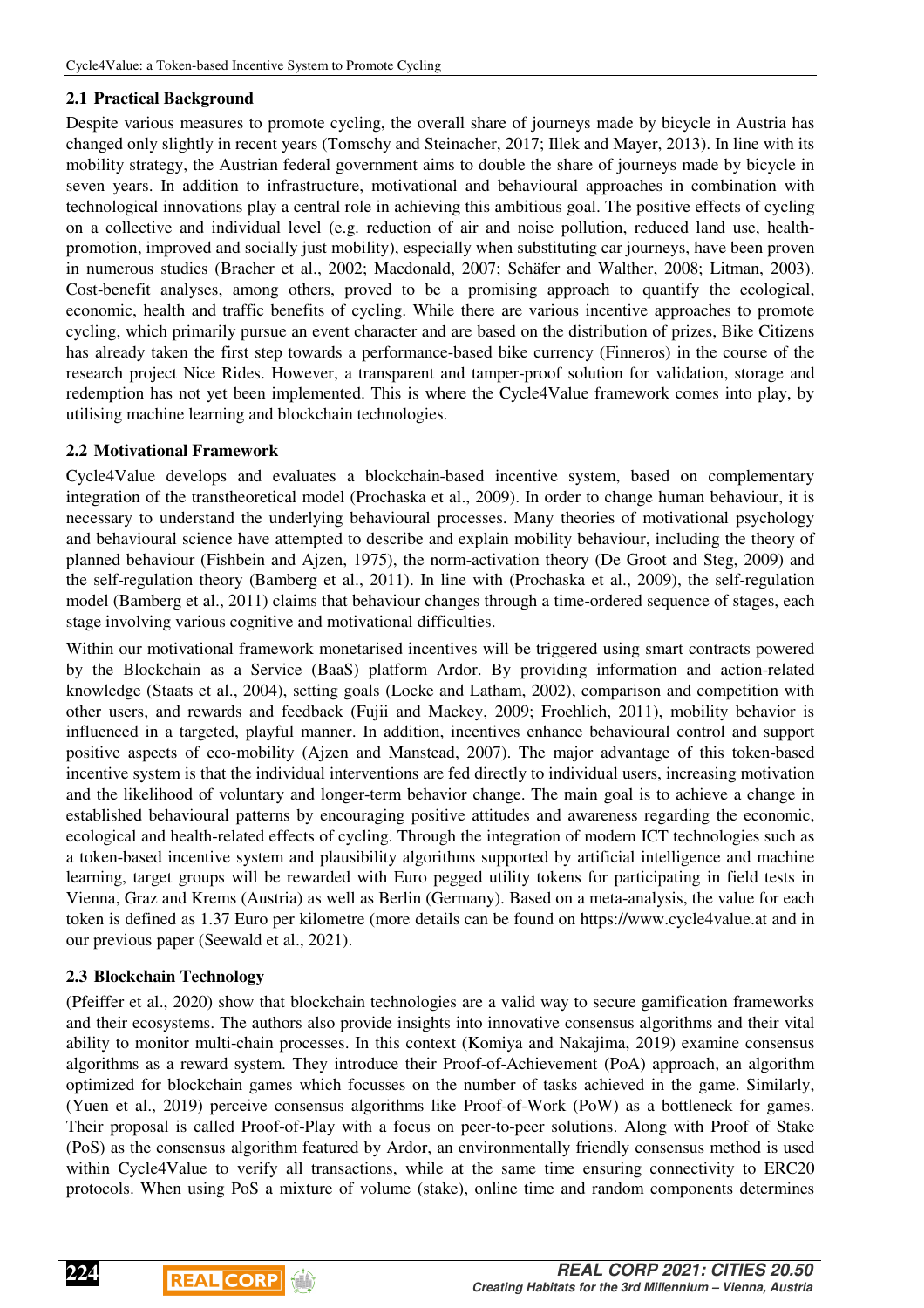## **2.1 Practical Background**

Despite various measures to promote cycling, the overall share of journeys made by bicycle in Austria has changed only slightly in recent years (Tomschy and Steinacher, 2017; Illek and Mayer, 2013). In line with its mobility strategy, the Austrian federal government aims to double the share of journeys made by bicycle in seven years. In addition to infrastructure, motivational and behavioural approaches in combination with technological innovations play a central role in achieving this ambitious goal. The positive effects of cycling on a collective and individual level (e.g. reduction of air and noise pollution, reduced land use, healthpromotion, improved and socially just mobility), especially when substituting car journeys, have been proven in numerous studies (Bracher et al., 2002; Macdonald, 2007; Schäfer and Walther, 2008; Litman, 2003). Cost-benefit analyses, among others, proved to be a promising approach to quantify the ecological, economic, health and traffic benefits of cycling. While there are various incentive approaches to promote cycling, which primarily pursue an event character and are based on the distribution of prizes, Bike Citizens has already taken the first step towards a performance-based bike currency (Finneros) in the course of the research project Nice Rides. However, a transparent and tamper-proof solution for validation, storage and redemption has not yet been implemented. This is where the Cycle4Value framework comes into play, by utilising machine learning and blockchain technologies.

## **2.2 Motivational Framework**

Cycle4Value develops and evaluates a blockchain-based incentive system, based on complementary integration of the transtheoretical model (Prochaska et al., 2009). In order to change human behaviour, it is necessary to understand the underlying behavioural processes. Many theories of motivational psychology and behavioural science have attempted to describe and explain mobility behaviour, including the theory of planned behaviour (Fishbein and Ajzen, 1975), the norm-activation theory (De Groot and Steg, 2009) and the self-regulation theory (Bamberg et al., 2011). In line with (Prochaska et al., 2009), the self-regulation model (Bamberg et al., 2011) claims that behaviour changes through a time-ordered sequence of stages, each stage involving various cognitive and motivational difficulties.

Within our motivational framework monetarised incentives will be triggered using smart contracts powered by the Blockchain as a Service (BaaS) platform Ardor. By providing information and action-related knowledge (Staats et al., 2004), setting goals (Locke and Latham, 2002), comparison and competition with other users, and rewards and feedback (Fujii and Mackey, 2009; Froehlich, 2011), mobility behavior is influenced in a targeted, playful manner. In addition, incentives enhance behavioural control and support positive aspects of eco-mobility (Ajzen and Manstead, 2007). The major advantage of this token-based incentive system is that the individual interventions are fed directly to individual users, increasing motivation and the likelihood of voluntary and longer-term behavior change. The main goal is to achieve a change in established behavioural patterns by encouraging positive attitudes and awareness regarding the economic, ecological and health-related effects of cycling. Through the integration of modern ICT technologies such as a token-based incentive system and plausibility algorithms supported by artificial intelligence and machine learning, target groups will be rewarded with Euro pegged utility tokens for participating in field tests in Vienna, Graz and Krems (Austria) as well as Berlin (Germany). Based on a meta-analysis, the value for each token is defined as 1.37 Euro per kilometre (more details can be found on https://www.cycle4value.at and in our previous paper (Seewald et al., 2021).

## **2.3 Blockchain Technology**

(Pfeiffer et al., 2020) show that blockchain technologies are a valid way to secure gamification frameworks and their ecosystems. The authors also provide insights into innovative consensus algorithms and their vital ability to monitor multi-chain processes. In this context (Komiya and Nakajima, 2019) examine consensus algorithms as a reward system. They introduce their Proof-of-Achievement (PoA) approach, an algorithm optimized for blockchain games which focusses on the number of tasks achieved in the game. Similarly, (Yuen et al., 2019) perceive consensus algorithms like Proof-of-Work (PoW) as a bottleneck for games. Their proposal is called Proof-of-Play with a focus on peer-to-peer solutions. Along with Proof of Stake (PoS) as the consensus algorithm featured by Ardor, an environmentally friendly consensus method is used within Cycle4Value to verify all transactions, while at the same time ensuring connectivity to ERC20 protocols. When using PoS a mixture of volume (stake), online time and random components determines



**224**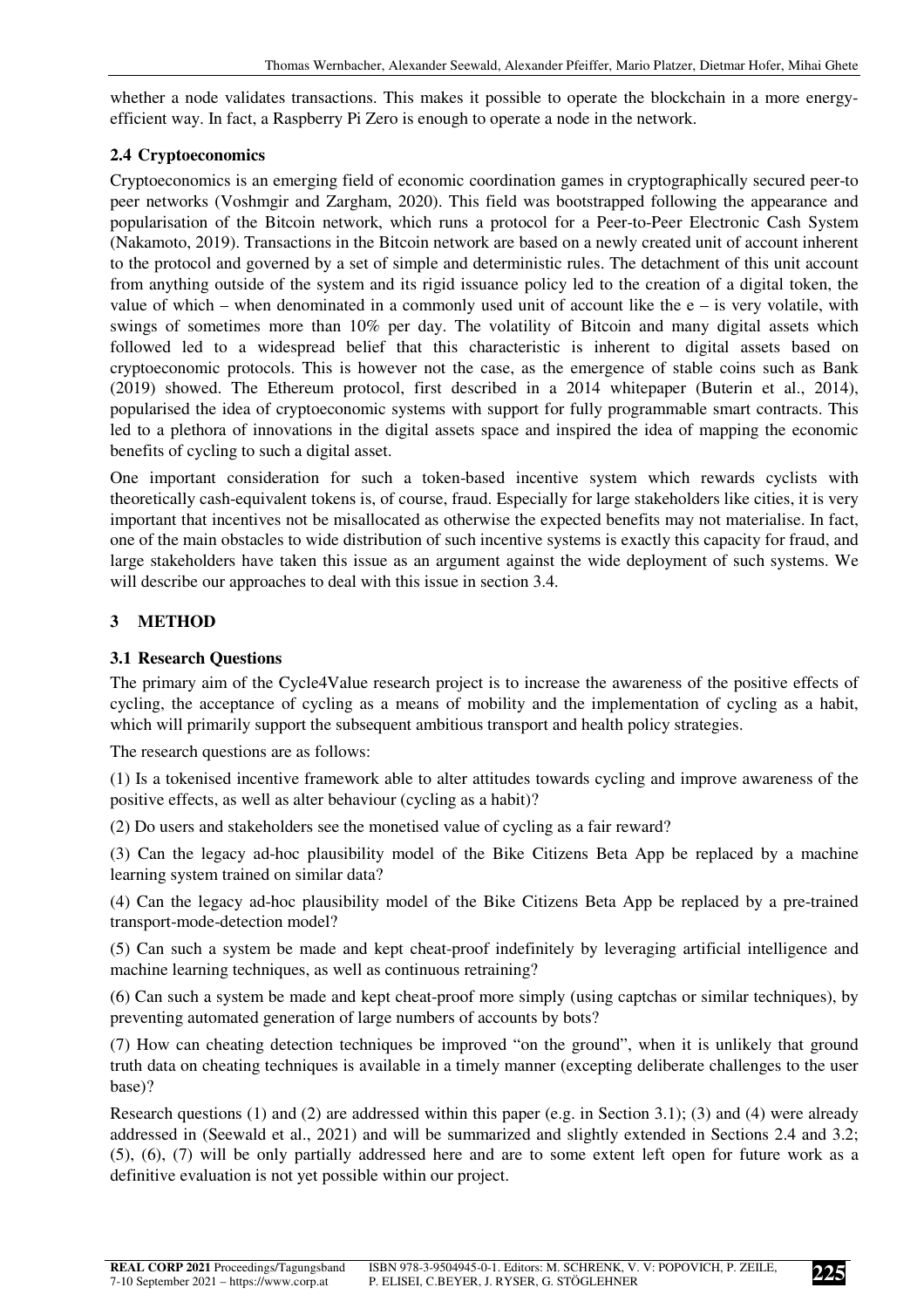whether a node validates transactions. This makes it possible to operate the blockchain in a more energyefficient way. In fact, a Raspberry Pi Zero is enough to operate a node in the network.

## **2.4 Cryptoeconomics**

Cryptoeconomics is an emerging field of economic coordination games in cryptographically secured peer-to peer networks (Voshmgir and Zargham, 2020). This field was bootstrapped following the appearance and popularisation of the Bitcoin network, which runs a protocol for a Peer-to-Peer Electronic Cash System (Nakamoto, 2019). Transactions in the Bitcoin network are based on a newly created unit of account inherent to the protocol and governed by a set of simple and deterministic rules. The detachment of this unit account from anything outside of the system and its rigid issuance policy led to the creation of a digital token, the value of which – when denominated in a commonly used unit of account like the  $e -$  is very volatile, with swings of sometimes more than 10% per day. The volatility of Bitcoin and many digital assets which followed led to a widespread belief that this characteristic is inherent to digital assets based on cryptoeconomic protocols. This is however not the case, as the emergence of stable coins such as Bank (2019) showed. The Ethereum protocol, first described in a 2014 whitepaper (Buterin et al., 2014), popularised the idea of cryptoeconomic systems with support for fully programmable smart contracts. This led to a plethora of innovations in the digital assets space and inspired the idea of mapping the economic benefits of cycling to such a digital asset.

One important consideration for such a token-based incentive system which rewards cyclists with theoretically cash-equivalent tokens is, of course, fraud. Especially for large stakeholders like cities, it is very important that incentives not be misallocated as otherwise the expected benefits may not materialise. In fact, one of the main obstacles to wide distribution of such incentive systems is exactly this capacity for fraud, and large stakeholders have taken this issue as an argument against the wide deployment of such systems. We will describe our approaches to deal with this issue in section 3.4.

# **3 METHOD**

## **3.1 Research Questions**

The primary aim of the Cycle4Value research project is to increase the awareness of the positive effects of cycling, the acceptance of cycling as a means of mobility and the implementation of cycling as a habit, which will primarily support the subsequent ambitious transport and health policy strategies.

The research questions are as follows:

(1) Is a tokenised incentive framework able to alter attitudes towards cycling and improve awareness of the positive effects, as well as alter behaviour (cycling as a habit)?

(2) Do users and stakeholders see the monetised value of cycling as a fair reward?

(3) Can the legacy ad-hoc plausibility model of the Bike Citizens Beta App be replaced by a machine learning system trained on similar data?

(4) Can the legacy ad-hoc plausibility model of the Bike Citizens Beta App be replaced by a pre-trained transport-mode-detection model?

(5) Can such a system be made and kept cheat-proof indefinitely by leveraging artificial intelligence and machine learning techniques, as well as continuous retraining?

(6) Can such a system be made and kept cheat-proof more simply (using captchas or similar techniques), by preventing automated generation of large numbers of accounts by bots?

(7) How can cheating detection techniques be improved "on the ground", when it is unlikely that ground truth data on cheating techniques is available in a timely manner (excepting deliberate challenges to the user base)?

Research questions (1) and (2) are addressed within this paper (e.g. in Section 3.1); (3) and (4) were already addressed in (Seewald et al., 2021) and will be summarized and slightly extended in Sections 2.4 and 3.2; (5), (6), (7) will be only partially addressed here and are to some extent left open for future work as a definitive evaluation is not yet possible within our project.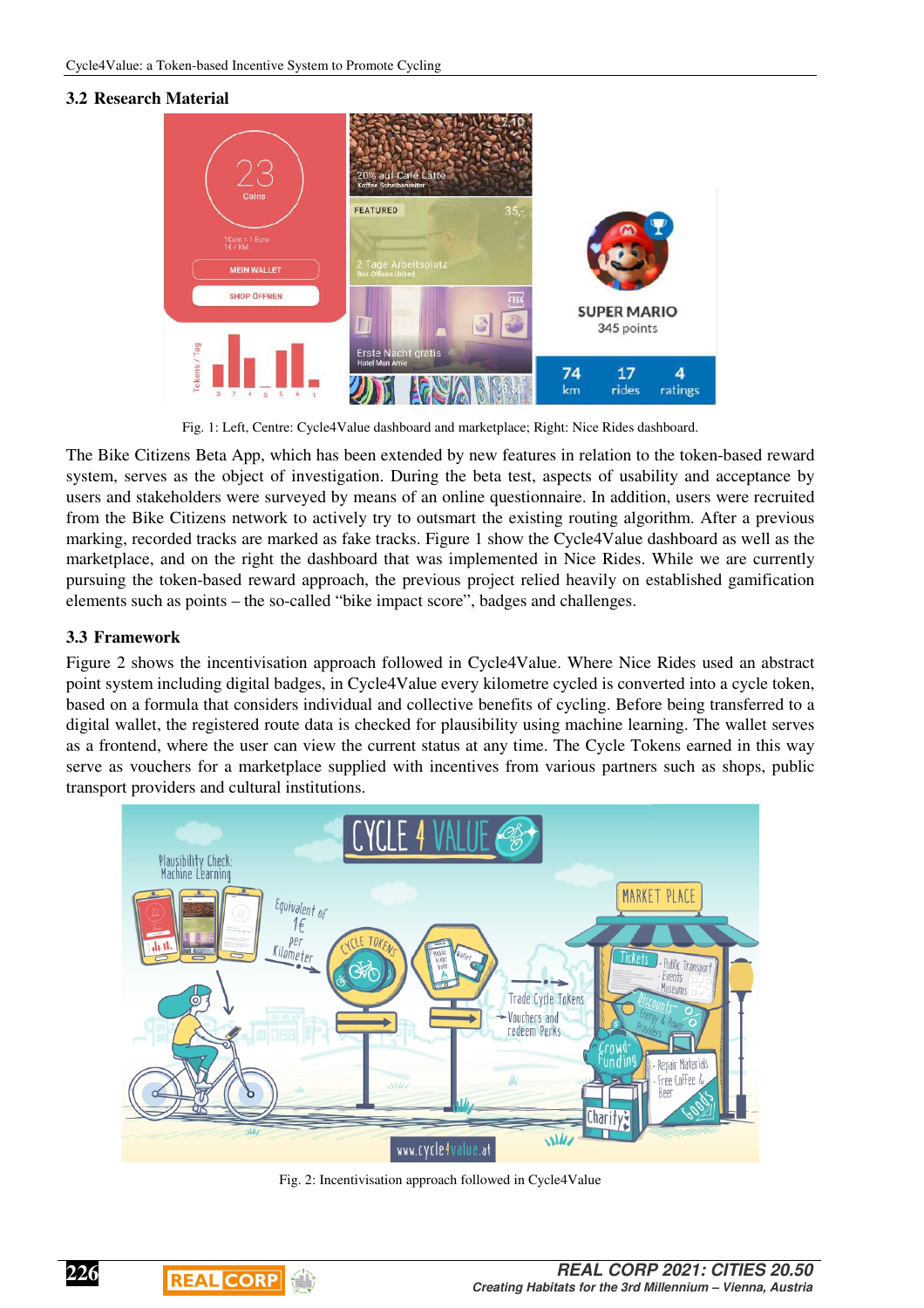## **3.2 Research Material**



Fig. 1: Left, Centre: Cycle4Value dashboard and marketplace; Right: Nice Rides dashboard.

The Bike Citizens Beta App, which has been extended by new features in relation to the token-based reward system, serves as the object of investigation. During the beta test, aspects of usability and acceptance by users and stakeholders were surveyed by means of an online questionnaire. In addition, users were recruited from the Bike Citizens network to actively try to outsmart the existing routing algorithm. After a previous marking, recorded tracks are marked as fake tracks. Figure 1 show the Cycle4Value dashboard as well as the marketplace, and on the right the dashboard that was implemented in Nice Rides. While we are currently pursuing the token-based reward approach, the previous project relied heavily on established gamification elements such as points – the so-called "bike impact score", badges and challenges.

### **3.3 Framework**

Figure 2 shows the incentivisation approach followed in Cycle4Value. Where Nice Rides used an abstract point system including digital badges, in Cycle4Value every kilometre cycled is converted into a cycle token, based on a formula that considers individual and collective benefits of cycling. Before being transferred to a digital wallet, the registered route data is checked for plausibility using machine learning. The wallet serves as a frontend, where the user can view the current status at any time. The Cycle Tokens earned in this way serve as vouchers for a marketplace supplied with incentives from various partners such as shops, public transport providers and cultural institutions.



Fig. 2: Incentivisation approach followed in Cycle4Value

 $\begin{array}{c} \hline \end{array}$ 

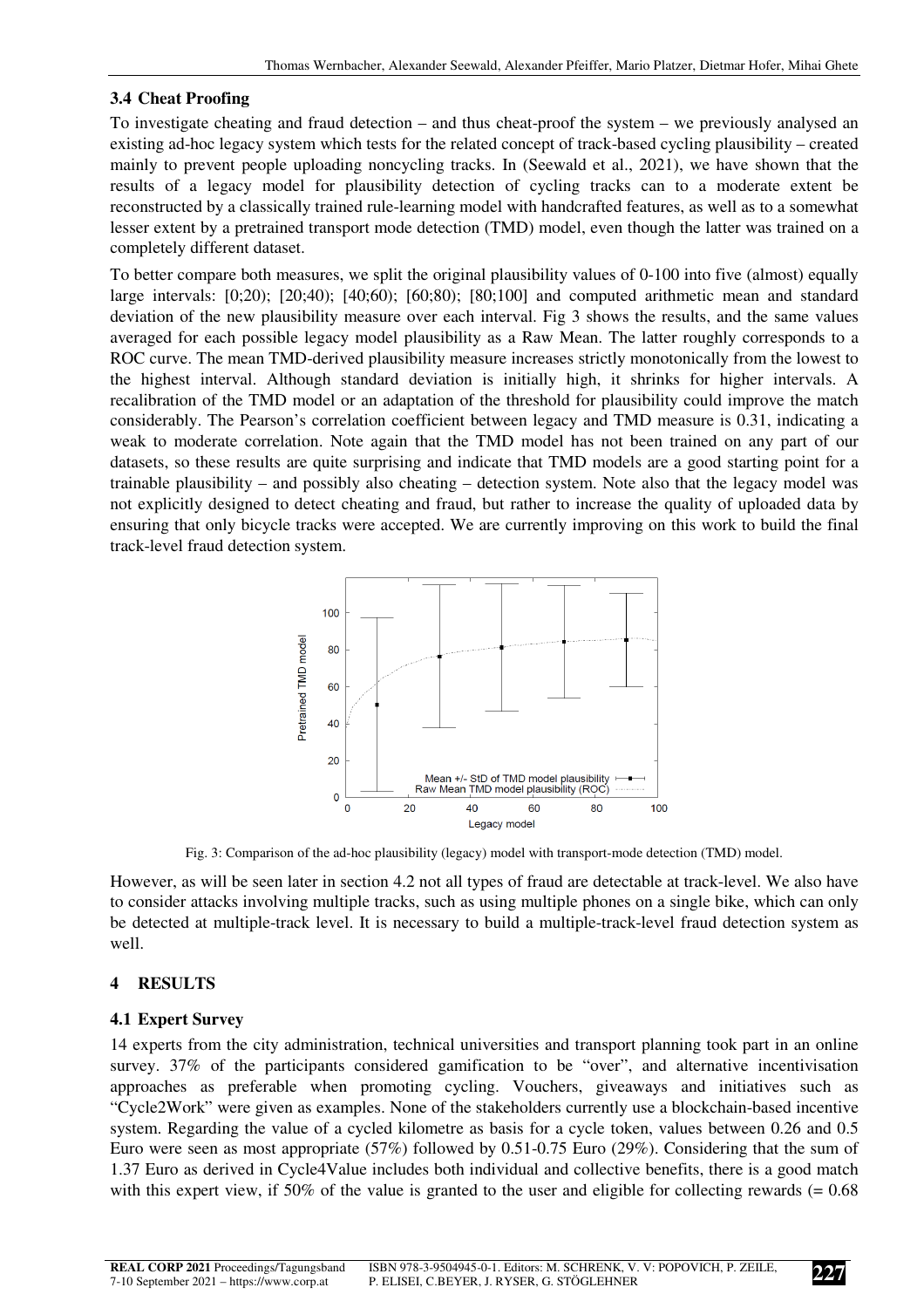### **3.4 Cheat Proofing**

To investigate cheating and fraud detection – and thus cheat-proof the system – we previously analysed an existing ad-hoc legacy system which tests for the related concept of track-based cycling plausibility – created mainly to prevent people uploading noncycling tracks. In (Seewald et al., 2021), we have shown that the results of a legacy model for plausibility detection of cycling tracks can to a moderate extent be reconstructed by a classically trained rule-learning model with handcrafted features, as well as to a somewhat lesser extent by a pretrained transport mode detection (TMD) model, even though the latter was trained on a completely different dataset.

To better compare both measures, we split the original plausibility values of 0-100 into five (almost) equally large intervals: [0;20); [20;40); [40;60); [60;80); [80;100] and computed arithmetic mean and standard deviation of the new plausibility measure over each interval. Fig 3 shows the results, and the same values averaged for each possible legacy model plausibility as a Raw Mean. The latter roughly corresponds to a ROC curve. The mean TMD-derived plausibility measure increases strictly monotonically from the lowest to the highest interval. Although standard deviation is initially high, it shrinks for higher intervals. A recalibration of the TMD model or an adaptation of the threshold for plausibility could improve the match considerably. The Pearson's correlation coefficient between legacy and TMD measure is 0.31, indicating a weak to moderate correlation. Note again that the TMD model has not been trained on any part of our datasets, so these results are quite surprising and indicate that TMD models are a good starting point for a trainable plausibility – and possibly also cheating – detection system. Note also that the legacy model was not explicitly designed to detect cheating and fraud, but rather to increase the quality of uploaded data by ensuring that only bicycle tracks were accepted. We are currently improving on this work to build the final track-level fraud detection system.



Fig. 3: Comparison of the ad-hoc plausibility (legacy) model with transport-mode detection (TMD) model.

However, as will be seen later in section 4.2 not all types of fraud are detectable at track-level. We also have to consider attacks involving multiple tracks, such as using multiple phones on a single bike, which can only be detected at multiple-track level. It is necessary to build a multiple-track-level fraud detection system as well.

## **4 RESULTS**

#### **4.1 Expert Survey**

14 experts from the city administration, technical universities and transport planning took part in an online survey. 37% of the participants considered gamification to be "over", and alternative incentivisation approaches as preferable when promoting cycling. Vouchers, giveaways and initiatives such as "Cycle2Work" were given as examples. None of the stakeholders currently use a blockchain-based incentive system. Regarding the value of a cycled kilometre as basis for a cycle token, values between 0.26 and 0.5 Euro were seen as most appropriate (57%) followed by 0.51-0.75 Euro (29%). Considering that the sum of 1.37 Euro as derived in Cycle4Value includes both individual and collective benefits, there is a good match with this expert view, if 50% of the value is granted to the user and eligible for collecting rewards  $(= 0.68$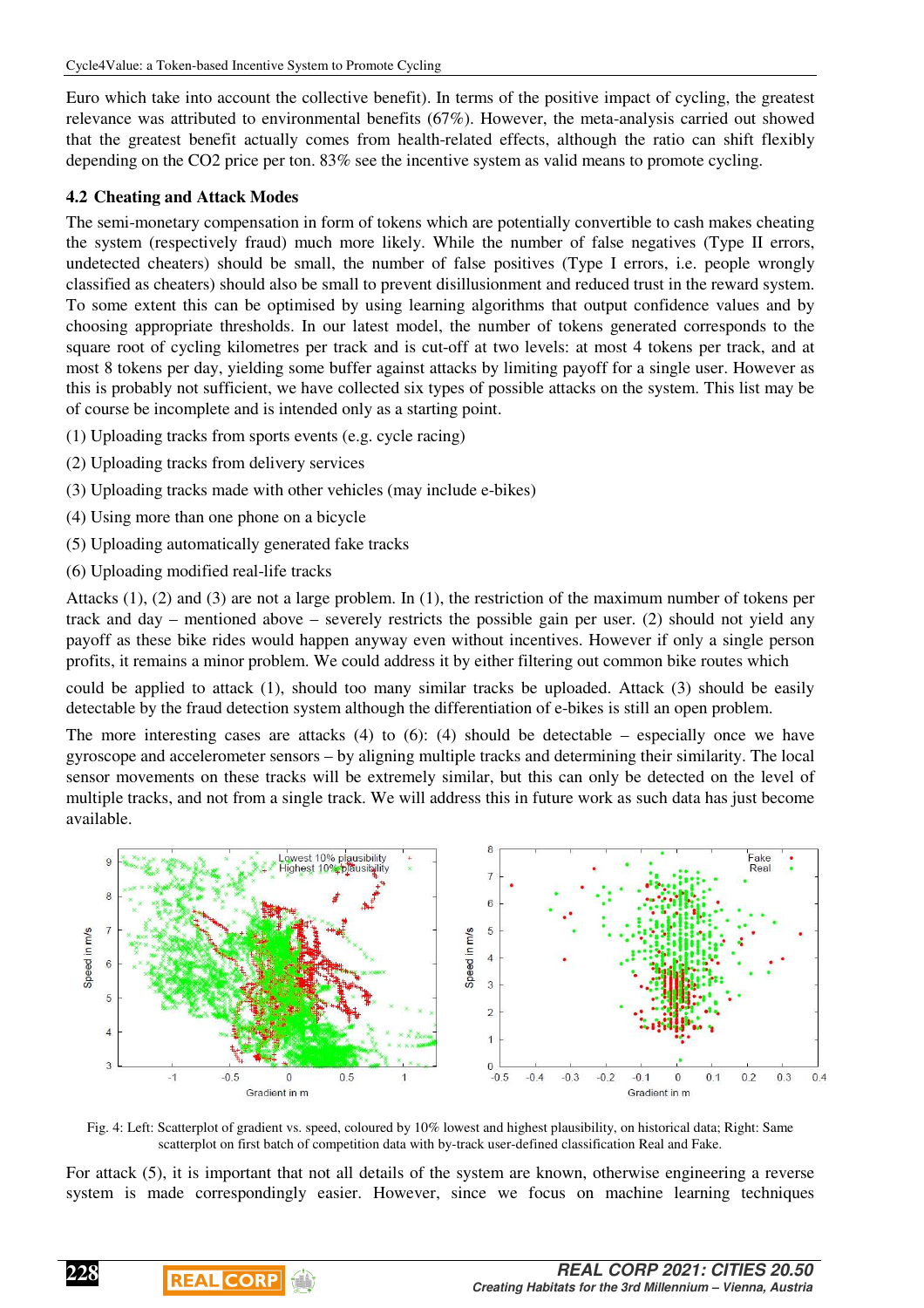Euro which take into account the collective benefit). In terms of the positive impact of cycling, the greatest relevance was attributed to environmental benefits (67%). However, the meta-analysis carried out showed that the greatest benefit actually comes from health-related effects, although the ratio can shift flexibly depending on the CO2 price per ton. 83% see the incentive system as valid means to promote cycling.

#### **4.2 Cheating and Attack Modes**

The semi-monetary compensation in form of tokens which are potentially convertible to cash makes cheating the system (respectively fraud) much more likely. While the number of false negatives (Type II errors, undetected cheaters) should be small, the number of false positives (Type I errors, i.e. people wrongly classified as cheaters) should also be small to prevent disillusionment and reduced trust in the reward system. To some extent this can be optimised by using learning algorithms that output confidence values and by choosing appropriate thresholds. In our latest model, the number of tokens generated corresponds to the square root of cycling kilometres per track and is cut-off at two levels: at most 4 tokens per track, and at most 8 tokens per day, yielding some buffer against attacks by limiting payoff for a single user. However as this is probably not sufficient, we have collected six types of possible attacks on the system. This list may be of course be incomplete and is intended only as a starting point.

- (1) Uploading tracks from sports events (e.g. cycle racing)
- (2) Uploading tracks from delivery services
- (3) Uploading tracks made with other vehicles (may include e-bikes)

 $\begin{array}{c} \hline \end{array}$ 

**REAL CORP** 

- (4) Using more than one phone on a bicycle
- (5) Uploading automatically generated fake tracks
- (6) Uploading modified real-life tracks

Attacks (1), (2) and (3) are not a large problem. In (1), the restriction of the maximum number of tokens per track and day – mentioned above – severely restricts the possible gain per user. (2) should not yield any payoff as these bike rides would happen anyway even without incentives. However if only a single person profits, it remains a minor problem. We could address it by either filtering out common bike routes which

could be applied to attack (1), should too many similar tracks be uploaded. Attack (3) should be easily detectable by the fraud detection system although the differentiation of e-bikes is still an open problem.

The more interesting cases are attacks  $(4)$  to  $(6)$ :  $(4)$  should be detectable – especially once we have gyroscope and accelerometer sensors – by aligning multiple tracks and determining their similarity. The local sensor movements on these tracks will be extremely similar, but this can only be detected on the level of multiple tracks, and not from a single track. We will address this in future work as such data has just become available.



Fig. 4: Left: Scatterplot of gradient vs. speed, coloured by 10% lowest and highest plausibility, on historical data; Right: Same scatterplot on first batch of competition data with by-track user-defined classification Real and Fake.

For attack (5), it is important that not all details of the system are known, otherwise engineering a reverse system is made correspondingly easier. However, since we focus on machine learning techniques

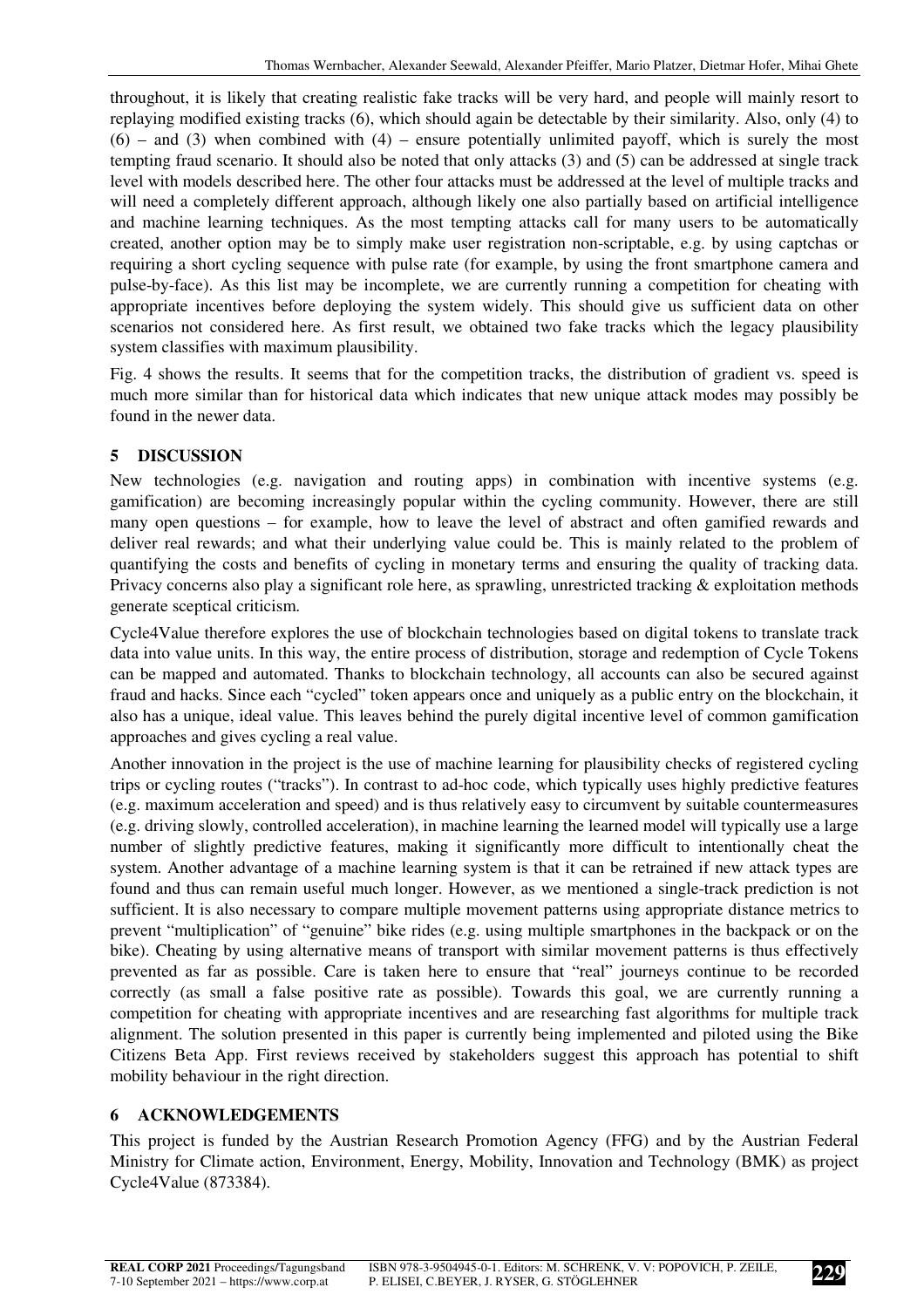throughout, it is likely that creating realistic fake tracks will be very hard, and people will mainly resort to replaying modified existing tracks (6), which should again be detectable by their similarity. Also, only (4) to  $(6)$  – and (3) when combined with (4) – ensure potentially unlimited payoff, which is surely the most tempting fraud scenario. It should also be noted that only attacks (3) and (5) can be addressed at single track level with models described here. The other four attacks must be addressed at the level of multiple tracks and will need a completely different approach, although likely one also partially based on artificial intelligence and machine learning techniques. As the most tempting attacks call for many users to be automatically created, another option may be to simply make user registration non-scriptable, e.g. by using captchas or requiring a short cycling sequence with pulse rate (for example, by using the front smartphone camera and pulse-by-face). As this list may be incomplete, we are currently running a competition for cheating with appropriate incentives before deploying the system widely. This should give us sufficient data on other scenarios not considered here. As first result, we obtained two fake tracks which the legacy plausibility system classifies with maximum plausibility.

Fig. 4 shows the results. It seems that for the competition tracks, the distribution of gradient vs. speed is much more similar than for historical data which indicates that new unique attack modes may possibly be found in the newer data.

## **5 DISCUSSION**

New technologies (e.g. navigation and routing apps) in combination with incentive systems (e.g. gamification) are becoming increasingly popular within the cycling community. However, there are still many open questions – for example, how to leave the level of abstract and often gamified rewards and deliver real rewards; and what their underlying value could be. This is mainly related to the problem of quantifying the costs and benefits of cycling in monetary terms and ensuring the quality of tracking data. Privacy concerns also play a significant role here, as sprawling, unrestricted tracking & exploitation methods generate sceptical criticism.

Cycle4Value therefore explores the use of blockchain technologies based on digital tokens to translate track data into value units. In this way, the entire process of distribution, storage and redemption of Cycle Tokens can be mapped and automated. Thanks to blockchain technology, all accounts can also be secured against fraud and hacks. Since each "cycled" token appears once and uniquely as a public entry on the blockchain, it also has a unique, ideal value. This leaves behind the purely digital incentive level of common gamification approaches and gives cycling a real value.

Another innovation in the project is the use of machine learning for plausibility checks of registered cycling trips or cycling routes ("tracks"). In contrast to ad-hoc code, which typically uses highly predictive features (e.g. maximum acceleration and speed) and is thus relatively easy to circumvent by suitable countermeasures (e.g. driving slowly, controlled acceleration), in machine learning the learned model will typically use a large number of slightly predictive features, making it significantly more difficult to intentionally cheat the system. Another advantage of a machine learning system is that it can be retrained if new attack types are found and thus can remain useful much longer. However, as we mentioned a single-track prediction is not sufficient. It is also necessary to compare multiple movement patterns using appropriate distance metrics to prevent "multiplication" of "genuine" bike rides (e.g. using multiple smartphones in the backpack or on the bike). Cheating by using alternative means of transport with similar movement patterns is thus effectively prevented as far as possible. Care is taken here to ensure that "real" journeys continue to be recorded correctly (as small a false positive rate as possible). Towards this goal, we are currently running a competition for cheating with appropriate incentives and are researching fast algorithms for multiple track alignment. The solution presented in this paper is currently being implemented and piloted using the Bike Citizens Beta App. First reviews received by stakeholders suggest this approach has potential to shift mobility behaviour in the right direction.

## **6 ACKNOWLEDGEMENTS**

This project is funded by the Austrian Research Promotion Agency (FFG) and by the Austrian Federal Ministry for Climate action, Environment, Energy, Mobility, Innovation and Technology (BMK) as project Cycle4Value (873384).